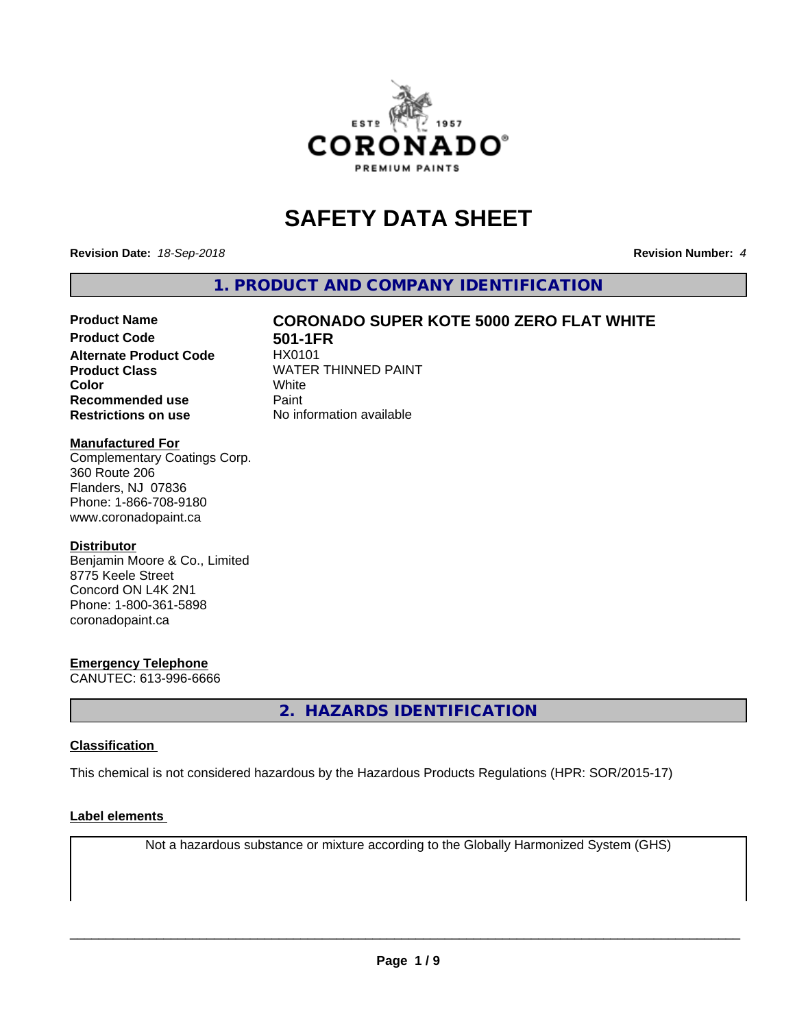

# **SAFETY DATA SHEET**

**Revision Date:** *18-Sep-2018* **Revision Number:** *4*

**1. PRODUCT AND COMPANY IDENTIFICATION**

# **Product Name CORONADO SUPER KOTE 5000 ZERO FLAT WHITE**

**Product Code 61 501-1FR**<br>**Alternate Product Code** HX0101 **Alternate Product Code Recommended use** Paint **Restrictions on use** No information available

**Product Class** WATER THINNED PAINT<br>
Color **Color** White White

## **Manufactured For**

Complementary Coatings Corp. 360 Route 206 Flanders, NJ 07836 Phone: 1-866-708-9180 www.coronadopaint.ca

## **Distributor**

Benjamin Moore & Co., Limited 8775 Keele Street Concord ON L4K 2N1 Phone: 1-800-361-5898 coronadopaint.ca

# **Emergency Telephone**

CANUTEC: 613-996-6666

**2. HAZARDS IDENTIFICATION**

# **Classification**

This chemical is not considered hazardous by the Hazardous Products Regulations (HPR: SOR/2015-17)

## **Label elements**

Not a hazardous substance or mixture according to the Globally Harmonized System (GHS)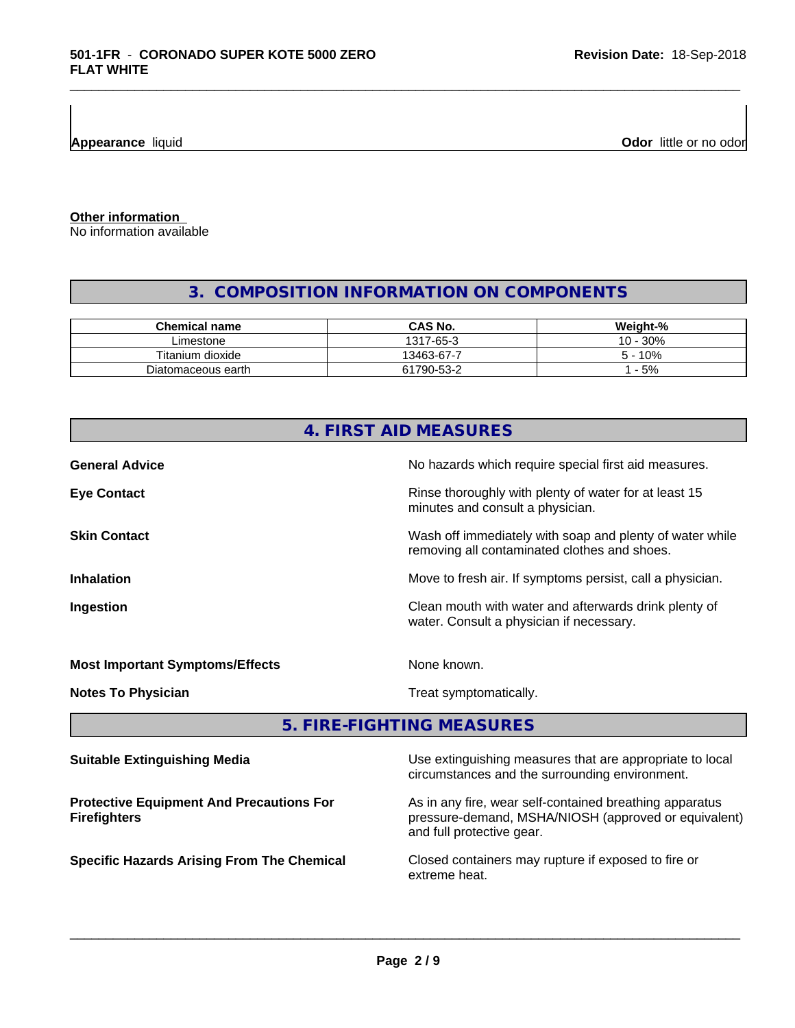**Appearance** liquid **Odor 11** and **Odor 11** and **Odor 11** and **Odor 11** and **Odor 11** and **Odor Odor** 11 and **Odor** 11 and **Odor** 11 and **Odor** 11 and **Odor** 11 and **Odor** 11 and 21 and 21 and 21 and 21 and 22 and 22 and

**Other information**

No information available

# **3. COMPOSITION INFORMATION ON COMPONENTS**

\_\_\_\_\_\_\_\_\_\_\_\_\_\_\_\_\_\_\_\_\_\_\_\_\_\_\_\_\_\_\_\_\_\_\_\_\_\_\_\_\_\_\_\_\_\_\_\_\_\_\_\_\_\_\_\_\_\_\_\_\_\_\_\_\_\_\_\_\_\_\_\_\_\_\_\_\_\_\_\_\_\_\_\_\_\_\_\_\_\_\_\_\_

| <b>Chemical name</b> | CAS No.    | Weight-%               |
|----------------------|------------|------------------------|
| ∟imestone            | 1317-65-3  | .30%<br>$10 -$         |
| Titanium dioxide     | 13463-67-7 | 10%<br>$\mathcal{D}$ – |
| Diatomaceous earth   | 61790-53-2 | $-5%$                  |

| 4. FIRST AID MEASURES                                                  |                                                                                                                 |  |  |  |
|------------------------------------------------------------------------|-----------------------------------------------------------------------------------------------------------------|--|--|--|
| <b>General Advice</b>                                                  | No hazards which require special first aid measures.                                                            |  |  |  |
| <b>Eye Contact</b>                                                     | Rinse thoroughly with plenty of water for at least 15<br>minutes and consult a physician.                       |  |  |  |
| <b>Skin Contact</b>                                                    | Wash off immediately with soap and plenty of water while<br>removing all contaminated clothes and shoes.        |  |  |  |
| <b>Inhalation</b>                                                      | Move to fresh air. If symptoms persist, call a physician.                                                       |  |  |  |
| Ingestion                                                              | Clean mouth with water and afterwards drink plenty of<br>water. Consult a physician if necessary.               |  |  |  |
| <b>Most Important Symptoms/Effects</b>                                 | None known.                                                                                                     |  |  |  |
| <b>Notes To Physician</b>                                              | Treat symptomatically.                                                                                          |  |  |  |
|                                                                        | 5. FIRE-FIGHTING MEASURES                                                                                       |  |  |  |
| <b>Suitable Extinguishing Media</b>                                    | Use extinguishing measures that are appropriate to local<br>circumstances and the surrounding environment.      |  |  |  |
| <b>Protective Equipment And Precautions For</b><br><b>Firefighters</b> | As in any fire, wear self-contained breathing apparatus<br>pressure-demand, MSHA/NIOSH (approved or equivalent) |  |  |  |

pressure-demand, MSHA/NIOSH (approved or equivalent) and full protective gear.

**Specific Hazards Arising From The Chemical Closed containers may rupture if exposed to fire or** extreme heat.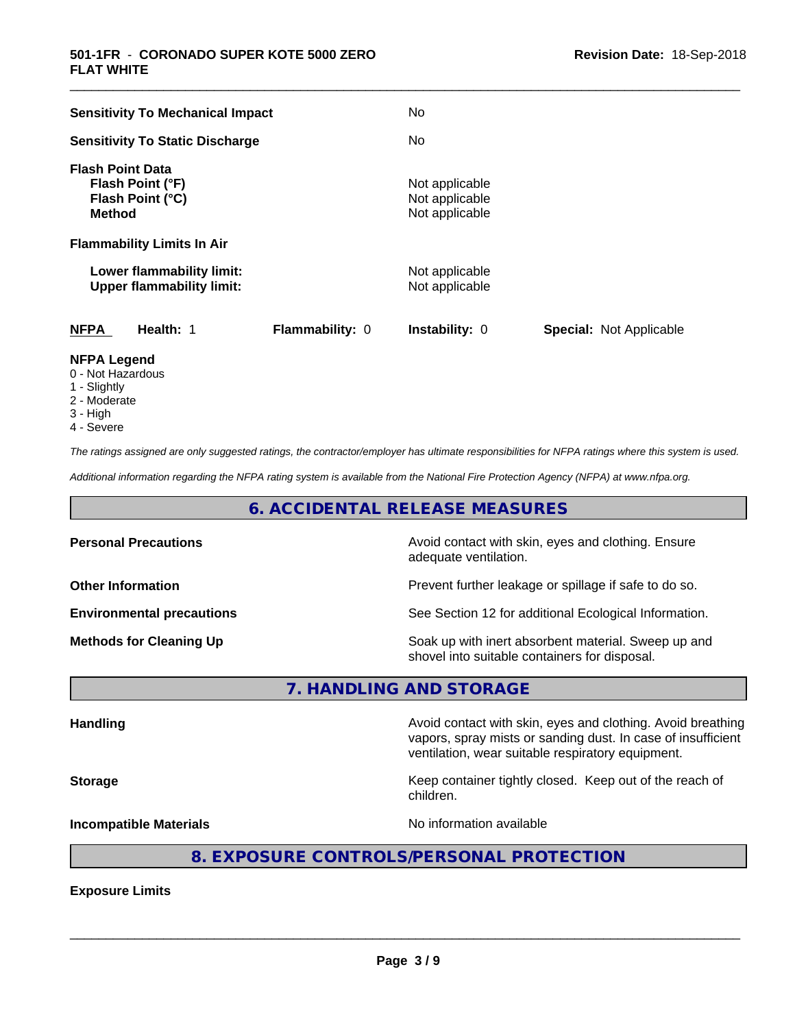| <b>Sensitivity To Mechanical Impact</b>                                          | No                                                      |
|----------------------------------------------------------------------------------|---------------------------------------------------------|
| <b>Sensitivity To Static Discharge</b>                                           | No                                                      |
| <b>Flash Point Data</b><br>Flash Point (°F)<br>Flash Point (°C)<br><b>Method</b> | Not applicable<br>Not applicable<br>Not applicable      |
| <b>Flammability Limits In Air</b>                                                |                                                         |
| Lower flammability limit:<br><b>Upper flammability limit:</b>                    | Not applicable<br>Not applicable                        |
| <b>NFPA</b><br>Health: 1<br>Flammability: 0                                      | <b>Instability: 0</b><br><b>Special: Not Applicable</b> |
| NFPA Legend                                                                      |                                                         |

\_\_\_\_\_\_\_\_\_\_\_\_\_\_\_\_\_\_\_\_\_\_\_\_\_\_\_\_\_\_\_\_\_\_\_\_\_\_\_\_\_\_\_\_\_\_\_\_\_\_\_\_\_\_\_\_\_\_\_\_\_\_\_\_\_\_\_\_\_\_\_\_\_\_\_\_\_\_\_\_\_\_\_\_\_\_\_\_\_\_\_\_\_

- **NFPA Legend** 0 - Not Hazardous
- 1 Slightly
- 2 Moderate
- 3 High
- 4 Severe

*The ratings assigned are only suggested ratings, the contractor/employer has ultimate responsibilities for NFPA ratings where this system is used.*

*Additional information regarding the NFPA rating system is available from the National Fire Protection Agency (NFPA) at www.nfpa.org.*

# **6. ACCIDENTAL RELEASE MEASURES**

| <b>Personal Precautions</b>      | Avoid contact with skin, eyes and clothing. Ensure<br>adequate ventilation.                          |
|----------------------------------|------------------------------------------------------------------------------------------------------|
| <b>Other Information</b>         | Prevent further leakage or spillage if safe to do so.                                                |
| <b>Environmental precautions</b> | See Section 12 for additional Ecological Information.                                                |
| <b>Methods for Cleaning Up</b>   | Soak up with inert absorbent material. Sweep up and<br>shovel into suitable containers for disposal. |

**7. HANDLING AND STORAGE**

Handling **Handling Avoid contact with skin, eyes and clothing. Avoid breathing Handling** vapors, spray mists or sanding dust. In case of insufficient ventilation, wear suitable respiratory equipment. **Storage Keep container tightly closed. Keep out of the reach of the reach of the reach of the reach of the reach of the reach of the reach of the reach of the reach of the reach of the reach of the reach of the reach of** children. **Incompatible Materials Incompatible Materials No information available** 

# **8. EXPOSURE CONTROLS/PERSONAL PROTECTION**

**Exposure Limits**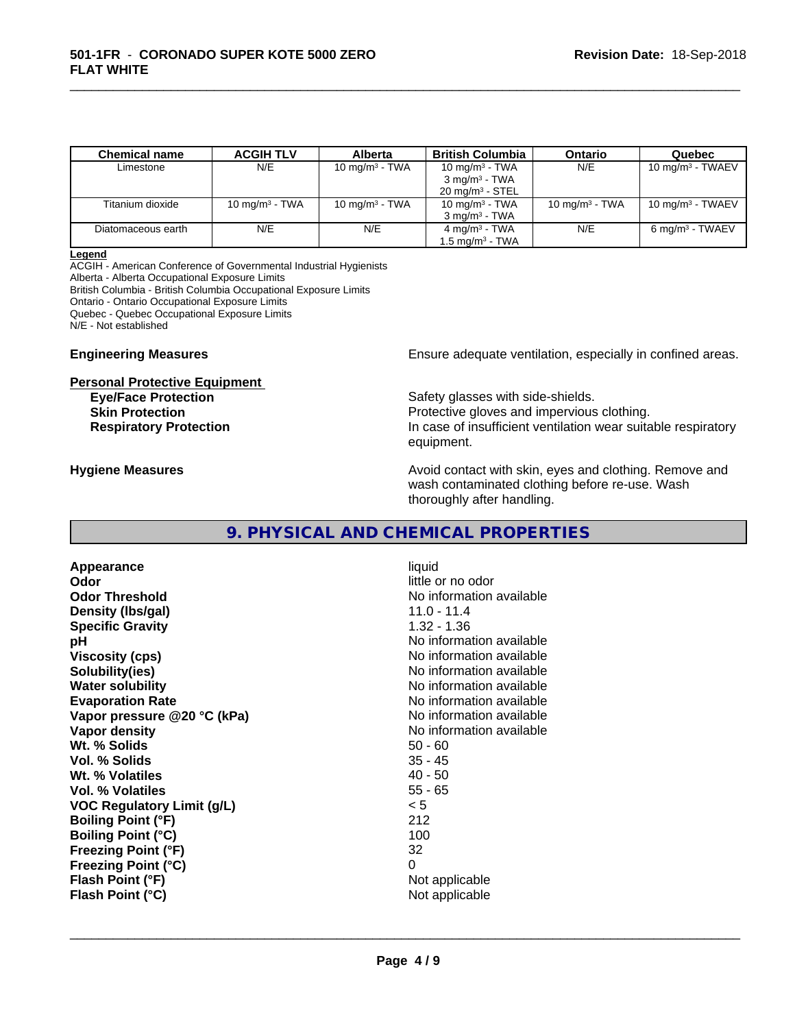| <b>Chemical name</b> | <b>ACGIH TLV</b>  | Alberta           | <b>British Columbia</b>    | <b>Ontario</b>    | Quebec                      |
|----------------------|-------------------|-------------------|----------------------------|-------------------|-----------------------------|
| Limestone            | N/E               | 10 mg/m $3$ - TWA | 10 mg/m $3$ - TWA          | N/E               | $10 \text{ mg/m}^3$ - TWAEV |
|                      |                   |                   | $3 \text{ mg/m}^3$ - TWA   |                   |                             |
|                      |                   |                   | $20 \text{ mg/m}^3$ - STEL |                   |                             |
| Titanium dioxide     | 10 mg/m $3$ - TWA | 10 mg/m $3$ - TWA | 10 mg/m $3$ - TWA          | 10 mg/m $3$ - TWA | $10 \text{ mg/m}^3$ - TWAEV |
|                      |                   |                   | $3 \text{ ma/m}^3$ - TWA   |                   |                             |
| Diatomaceous earth   | N/E               | N/E               | 4 mg/m <sup>3</sup> - TWA  | N/E               | $6 \text{ mg/m}^3$ - TWAEV  |
|                      |                   |                   | $1.5 \text{ mg/m}^3$ - TWA |                   |                             |

\_\_\_\_\_\_\_\_\_\_\_\_\_\_\_\_\_\_\_\_\_\_\_\_\_\_\_\_\_\_\_\_\_\_\_\_\_\_\_\_\_\_\_\_\_\_\_\_\_\_\_\_\_\_\_\_\_\_\_\_\_\_\_\_\_\_\_\_\_\_\_\_\_\_\_\_\_\_\_\_\_\_\_\_\_\_\_\_\_\_\_\_\_

#### **Legend**

ACGIH - American Conference of Governmental Industrial Hygienists Alberta - Alberta Occupational Exposure Limits British Columbia - British Columbia Occupational Exposure Limits Ontario - Ontario Occupational Exposure Limits Quebec - Quebec Occupational Exposure Limits N/E - Not established

#### **Personal Protective Equipment**

**Engineering Measures Ensure adequate ventilation, especially in confined areas.** 

**Eve/Face Protection Safety glasses with side-shields.** Safety glasses with side-shields. **Skin Protection Protection** Protective gloves and impervious clothing. **Respiratory Protection In case of insufficient ventilation wear suitable respiratory** equipment.

**Hygiene Measures Avoid contact with skin, eyes and clothing. Remove and Hygiene Measures** and clothing. Remove and wash contaminated clothing before re-use. Wash thoroughly after handling.

# **9. PHYSICAL AND CHEMICAL PROPERTIES**

**Appearance** liquid **Odor** little or no odor **Odor Threshold No information available**<br> **Density (Ibs/gal)** (11.0 - 11.4 **Density (lbs/gal) Specific Gravity** 1.32 - 1.36 **pH** No information available **Viscosity (cps)** No information available **Solubility(ies)** No information available in the solution of the solution of the solution available in the solution of the solution of the solution of the solution of the solution of the solution of the solution of the so **Water solubility Water solubility Water solubility Water solubility Water solution Evaporation Rate No information available No information available Vapor pressure @20 °C (kPa)** No information available **Vapor density**<br> **We Solids**<br>
We Solids
2019<br>
Me Solids
2019<br>
Me Solids
2019<br>
Me Solids
2019<br>
Me Solids
2019 Wt. % Solids **Vol. % Solids** 35 - 45 **Wt. % Volatiles** 40 - 50 **Vol. % Volatiles VOC Regulatory Limit (g/L)** < 5 **Boiling Point (°F)** 212 **Boiling Point (°C) Freezing Point (°F)** 32 **Freezing Point (°C)** 0 **Flash Point (°F) Flash Point (°C)** Not applicable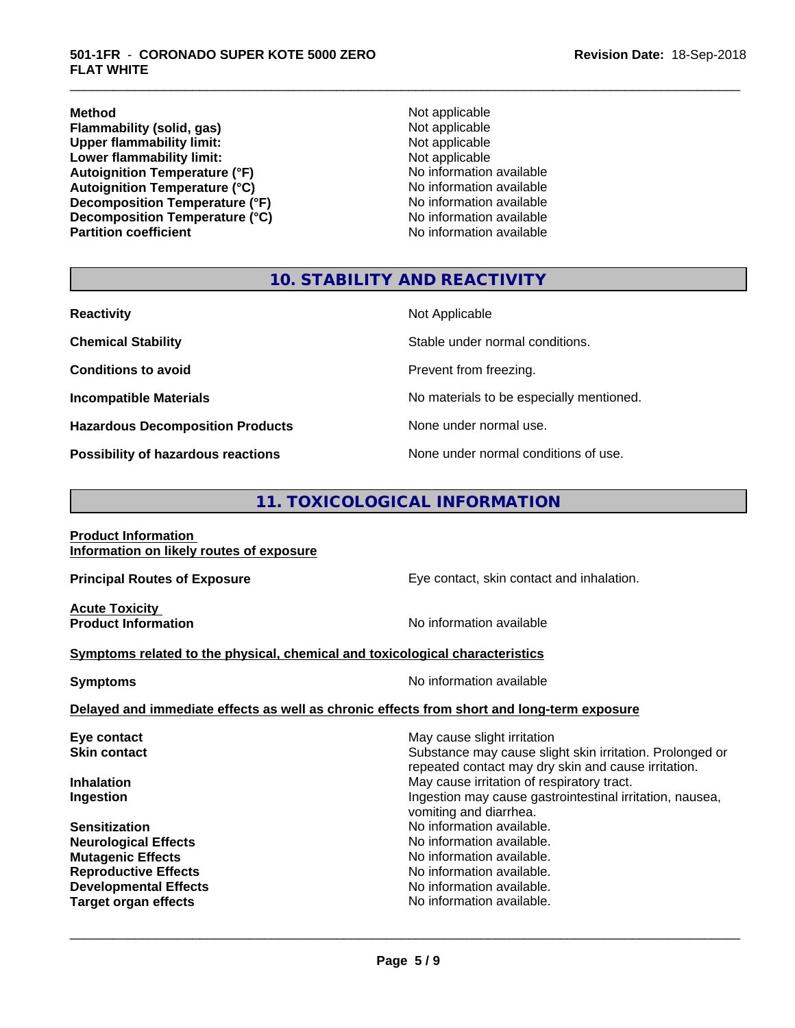**Method**<br> **Flammability (solid, gas)**<br> **Commability (solid, gas)**<br> **Not** applicable **Flammability (solid, gas)** Not applicable<br>
Upper flammability limit:<br>
Not applicable **Upper flammability limit:**<br> **Lower flammability limit:**<br>
Not applicable<br>
Not applicable **Lower flammability limit:**<br> **Autoignition Temperature (°F)**<br>
Mo information available Autoignition Temperature (°F)<br>
Autoignition Temperature (°C)<br>
No information available **Autoignition Temperature (°C) Decomposition Temperature (°F)** No information available<br> **Decomposition Temperature (°C)** No information available **Decomposition Temperature (°C)**<br>Partition coefficient

**No information available** 

\_\_\_\_\_\_\_\_\_\_\_\_\_\_\_\_\_\_\_\_\_\_\_\_\_\_\_\_\_\_\_\_\_\_\_\_\_\_\_\_\_\_\_\_\_\_\_\_\_\_\_\_\_\_\_\_\_\_\_\_\_\_\_\_\_\_\_\_\_\_\_\_\_\_\_\_\_\_\_\_\_\_\_\_\_\_\_\_\_\_\_\_\_

# **10. STABILITY AND REACTIVITY**

| <b>Reactivity</b>                       | Not Applicable                           |
|-----------------------------------------|------------------------------------------|
| <b>Chemical Stability</b>               | Stable under normal conditions.          |
| <b>Conditions to avoid</b>              | Prevent from freezing.                   |
| <b>Incompatible Materials</b>           | No materials to be especially mentioned. |
| <b>Hazardous Decomposition Products</b> | None under normal use.                   |
| Possibility of hazardous reactions      | None under normal conditions of use.     |

# **11. TOXICOLOGICAL INFORMATION**

| <b>Product Information</b> |                                          |  |
|----------------------------|------------------------------------------|--|
|                            | Information on likely routes of exposure |  |

**Acute Toxicity**<br>**Product Information** 

**Principal Routes of Exposure** Eye contact, skin contact and inhalation.

**No information available** 

 $\overline{\phantom{a}}$  ,  $\overline{\phantom{a}}$  ,  $\overline{\phantom{a}}$  ,  $\overline{\phantom{a}}$  ,  $\overline{\phantom{a}}$  ,  $\overline{\phantom{a}}$  ,  $\overline{\phantom{a}}$  ,  $\overline{\phantom{a}}$  ,  $\overline{\phantom{a}}$  ,  $\overline{\phantom{a}}$  ,  $\overline{\phantom{a}}$  ,  $\overline{\phantom{a}}$  ,  $\overline{\phantom{a}}$  ,  $\overline{\phantom{a}}$  ,  $\overline{\phantom{a}}$  ,  $\overline{\phantom{a}}$ 

### **Symptoms related to the physical,chemical and toxicological characteristics**

| <b>Symptoms</b>                                                                            | No information available |
|--------------------------------------------------------------------------------------------|--------------------------|
| Delayed and immediate effects as well as chronic effects from short and long-term exposure |                          |

| May cause slight irritation<br>Substance may cause slight skin irritation. Prolonged or<br>repeated contact may dry skin and cause irritation. |
|------------------------------------------------------------------------------------------------------------------------------------------------|
| May cause irritation of respiratory tract.                                                                                                     |
| Ingestion may cause gastrointestinal irritation, nausea,<br>vomiting and diarrhea.                                                             |
| No information available.                                                                                                                      |
| No information available.                                                                                                                      |
| No information available.                                                                                                                      |
| No information available.                                                                                                                      |
| No information available.                                                                                                                      |
| No information available.                                                                                                                      |
|                                                                                                                                                |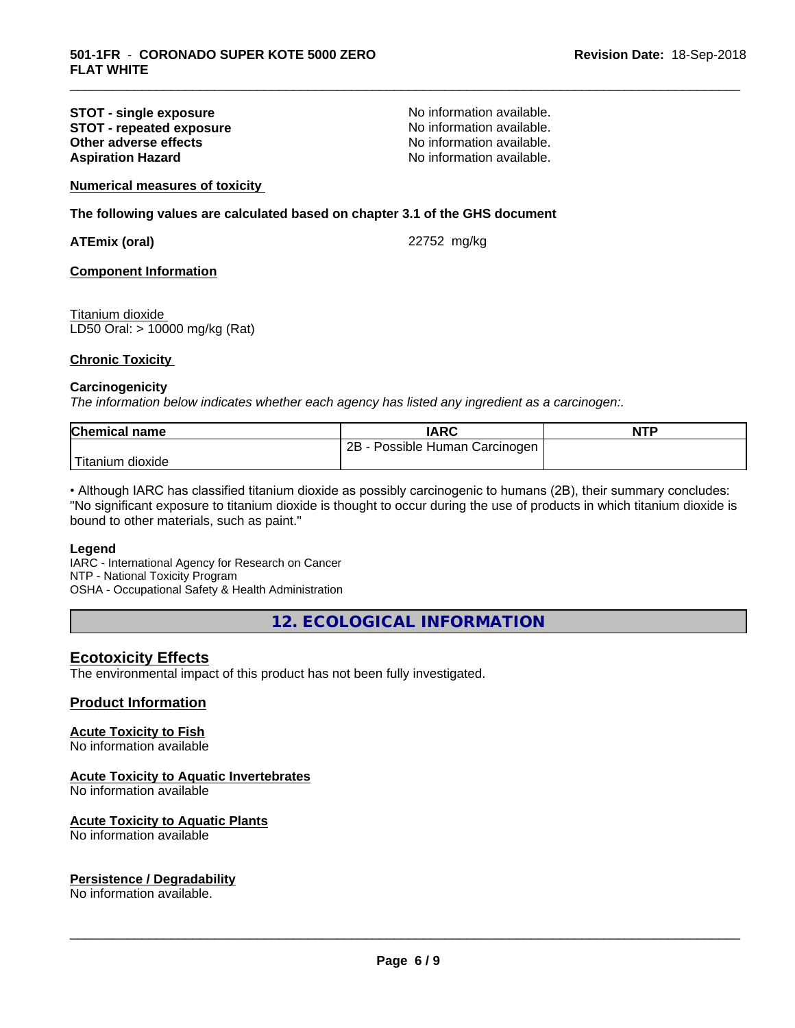## **STOT - single exposure**<br> **STOT - repeated exposure**<br> **STOT - repeated exposure**<br> **No information available. STOT - repeated exposure and information available.**<br> **Other adverse effects Calculate No information available. Other adverse effects Aspiration Hazard Aspiration Hazard No information available.**

\_\_\_\_\_\_\_\_\_\_\_\_\_\_\_\_\_\_\_\_\_\_\_\_\_\_\_\_\_\_\_\_\_\_\_\_\_\_\_\_\_\_\_\_\_\_\_\_\_\_\_\_\_\_\_\_\_\_\_\_\_\_\_\_\_\_\_\_\_\_\_\_\_\_\_\_\_\_\_\_\_\_\_\_\_\_\_\_\_\_\_\_\_

# **Numerical measures of toxicity**

# **The following values are calculated based on chapter 3.1 of the GHS document**

**ATEmix (oral)** 22752 mg/kg

### **Component Information**

Titanium dioxide LD50 Oral: > 10000 mg/kg (Rat)

#### **Chronic Toxicity**

#### **Carcinogenicity**

*The information below indicateswhether each agency has listed any ingredient as a carcinogen:.*

| <b>Chemical</b><br>name | IARC                                   | <b>NTP</b> |
|-------------------------|----------------------------------------|------------|
|                         | 2B<br>Carcinogen<br>Human<br>ossible ' |            |
| Titanium<br>dioxide     |                                        |            |

• Although IARC has classified titanium dioxide as possibly carcinogenic to humans (2B), their summary concludes: "No significant exposure to titanium dioxide is thought to occur during the use of products in which titanium dioxide is bound to other materials, such as paint."

#### **Legend**

IARC - International Agency for Research on Cancer NTP - National Toxicity Program OSHA - Occupational Safety & Health Administration

**12. ECOLOGICAL INFORMATION**

# **Ecotoxicity Effects**

The environmental impact of this product has not been fully investigated.

# **Product Information**

# **Acute Toxicity to Fish**

No information available

# **Acute Toxicity to Aquatic Invertebrates**

No information available

#### **Acute Toxicity to Aquatic Plants**

No information available

#### **Persistence / Degradability**

No information available.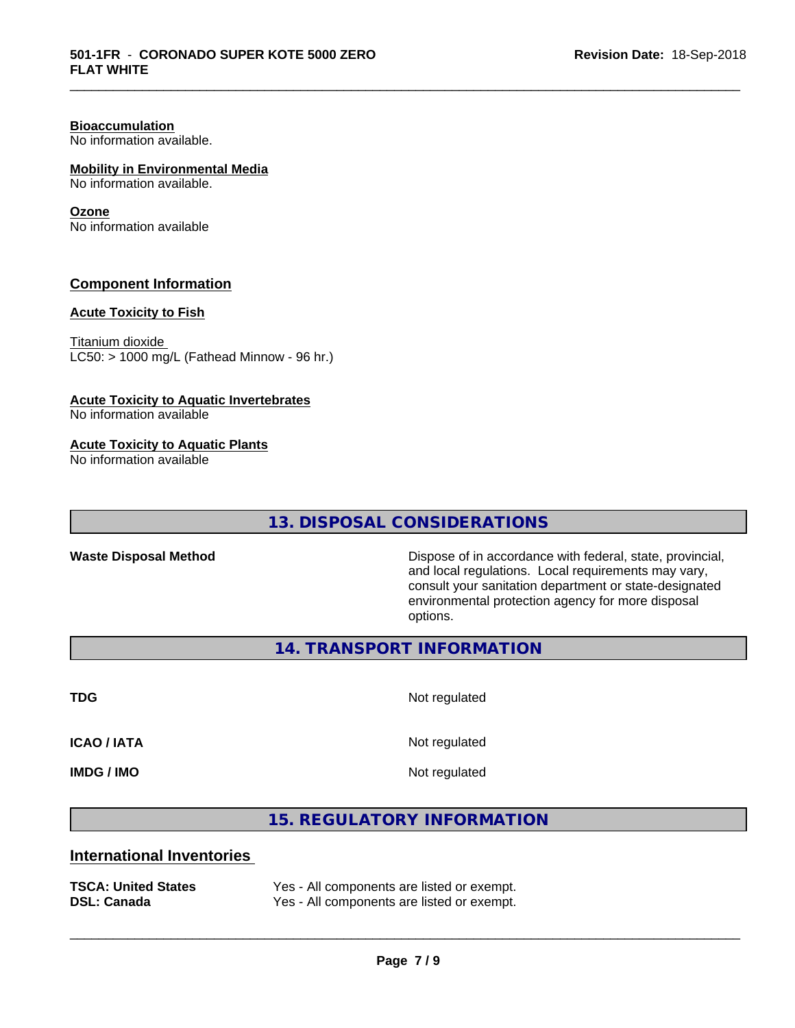# **Bioaccumulation**

No information available.

# **Mobility in Environmental Media**

No information available.

### **Ozone**

No information available

# **Component Information**

# **Acute Toxicity to Fish**

Titanium dioxide  $LC50:$  > 1000 mg/L (Fathead Minnow - 96 hr.)

### **Acute Toxicity to Aquatic Invertebrates**

No information available

### **Acute Toxicity to Aquatic Plants**

No information available

# **13. DISPOSAL CONSIDERATIONS**

Waste Disposal Method **Dispose of in accordance with federal, state, provincial,** and local regulations. Local requirements may vary, consult your sanitation department or state-designated environmental protection agency for more disposal options.

**14. TRANSPORT INFORMATION**

**TDG** Not regulated

\_\_\_\_\_\_\_\_\_\_\_\_\_\_\_\_\_\_\_\_\_\_\_\_\_\_\_\_\_\_\_\_\_\_\_\_\_\_\_\_\_\_\_\_\_\_\_\_\_\_\_\_\_\_\_\_\_\_\_\_\_\_\_\_\_\_\_\_\_\_\_\_\_\_\_\_\_\_\_\_\_\_\_\_\_\_\_\_\_\_\_\_\_

**ICAO / IATA** Not regulated

**IMDG / IMO** Not regulated

 $\overline{\phantom{a}}$  ,  $\overline{\phantom{a}}$  ,  $\overline{\phantom{a}}$  ,  $\overline{\phantom{a}}$  ,  $\overline{\phantom{a}}$  ,  $\overline{\phantom{a}}$  ,  $\overline{\phantom{a}}$  ,  $\overline{\phantom{a}}$  ,  $\overline{\phantom{a}}$  ,  $\overline{\phantom{a}}$  ,  $\overline{\phantom{a}}$  ,  $\overline{\phantom{a}}$  ,  $\overline{\phantom{a}}$  ,  $\overline{\phantom{a}}$  ,  $\overline{\phantom{a}}$  ,  $\overline{\phantom{a}}$ 

**15. REGULATORY INFORMATION**

# **International Inventories**

| <b>TSCA: United States</b> | Yes - All components are listed or exempt. |
|----------------------------|--------------------------------------------|
| <b>DSL: Canada</b>         | Yes - All components are listed or exempt. |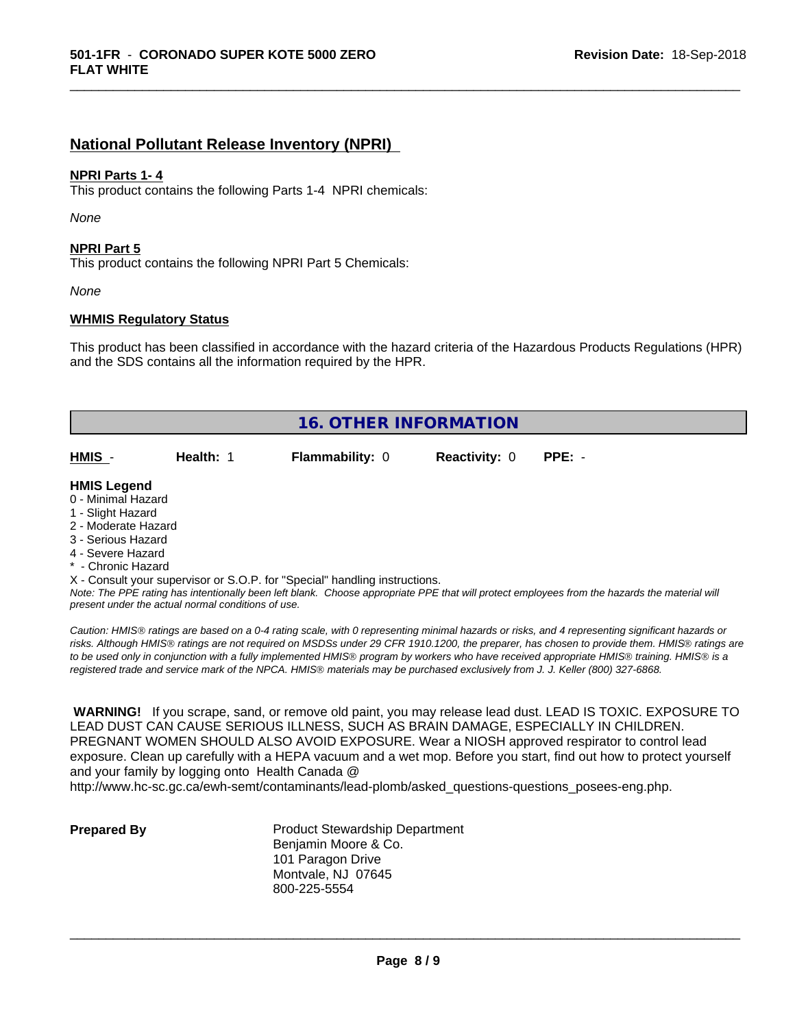# **National Pollutant Release Inventory (NPRI)**

### **NPRI Parts 1- 4**

This product contains the following Parts 1-4 NPRI chemicals:

*None*

### **NPRI Part 5**

This product contains the following NPRI Part 5 Chemicals:

*None*

### **WHMIS Regulatory Status**

This product has been classified in accordance with the hazard criteria of the Hazardous Products Regulations (HPR) and the SDS contains all the information required by the HPR.

\_\_\_\_\_\_\_\_\_\_\_\_\_\_\_\_\_\_\_\_\_\_\_\_\_\_\_\_\_\_\_\_\_\_\_\_\_\_\_\_\_\_\_\_\_\_\_\_\_\_\_\_\_\_\_\_\_\_\_\_\_\_\_\_\_\_\_\_\_\_\_\_\_\_\_\_\_\_\_\_\_\_\_\_\_\_\_\_\_\_\_\_\_

| <b>16. OTHER INFORMATION</b> |           |                                                                            |                      |          |
|------------------------------|-----------|----------------------------------------------------------------------------|----------------------|----------|
| HMIS -                       | Health: 1 | <b>Flammability: 0</b>                                                     | <b>Reactivity: 0</b> | $PPE: -$ |
| <b>HMIS Legend</b>           |           |                                                                            |                      |          |
| 0 - Minimal Hazard           |           |                                                                            |                      |          |
| 1 - Slight Hazard            |           |                                                                            |                      |          |
| 2 - Moderate Hazard          |           |                                                                            |                      |          |
| 3 - Serious Hazard           |           |                                                                            |                      |          |
| 4 - Severe Hazard            |           |                                                                            |                      |          |
| * - Chronic Hazard           |           |                                                                            |                      |          |
|                              |           | X - Consult your supervisor or S.O.P. for "Special" handling instructions. |                      |          |

*Note: The PPE rating has intentionally been left blank. Choose appropriate PPE that will protect employees from the hazards the material will present under the actual normal conditions of use.*

*Caution: HMISÒ ratings are based on a 0-4 rating scale, with 0 representing minimal hazards or risks, and 4 representing significant hazards or risks. Although HMISÒ ratings are not required on MSDSs under 29 CFR 1910.1200, the preparer, has chosen to provide them. HMISÒ ratings are to be used only in conjunction with a fully implemented HMISÒ program by workers who have received appropriate HMISÒ training. HMISÒ is a registered trade and service mark of the NPCA. HMISÒ materials may be purchased exclusively from J. J. Keller (800) 327-6868.*

 **WARNING!** If you scrape, sand, or remove old paint, you may release lead dust. LEAD IS TOXIC. EXPOSURE TO LEAD DUST CAN CAUSE SERIOUS ILLNESS, SUCH AS BRAIN DAMAGE, ESPECIALLY IN CHILDREN. PREGNANT WOMEN SHOULD ALSO AVOID EXPOSURE.Wear a NIOSH approved respirator to control lead exposure. Clean up carefully with a HEPA vacuum and a wet mop. Before you start, find out how to protect yourself and your family by logging onto Health Canada @

http://www.hc-sc.gc.ca/ewh-semt/contaminants/lead-plomb/asked\_questions-questions\_posees-eng.php.

**Prepared By** Product Stewardship Department Benjamin Moore & Co. 101 Paragon Drive Montvale, NJ 07645 800-225-5554